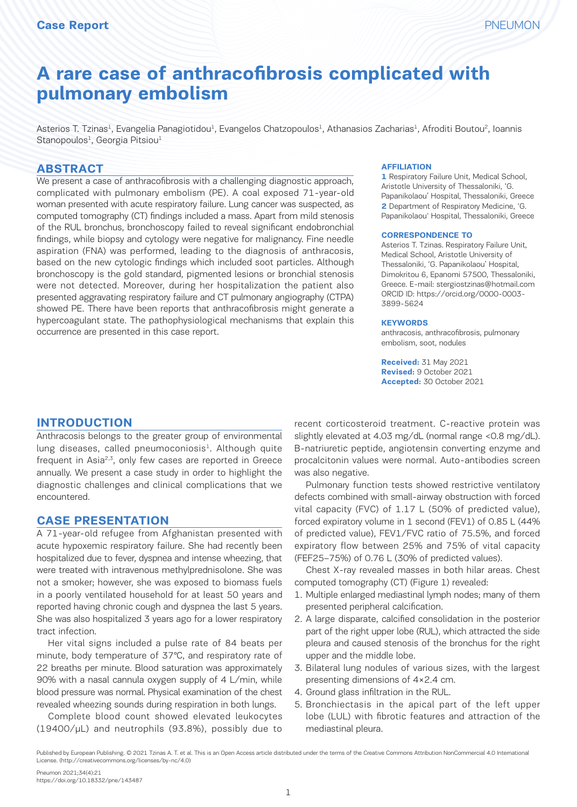# **A rare case of anthracofibrosis complicated with pulmonary embolism**

Asterios T. Tzinas<sup>1</sup>, Evangelia Panagiotidou<sup>1</sup>, Evangelos Chatzopoulos<sup>1</sup>, Athanasios Zacharias<sup>1</sup>, Afroditi Boutou<sup>2</sup>, Ioannis Stanopoulos<sup>1</sup>, Georgia Pitsiou<sup>1</sup>

#### **ABSTRACT**

We present a case of anthracofibrosis with a challenging diagnostic approach, complicated with pulmonary embolism (PE). A coal exposed 71-year-old woman presented with acute respiratory failure. Lung cancer was suspected, as computed tomography (CT) findings included a mass. Apart from mild stenosis of the RUL bronchus, bronchoscopy failed to reveal significant endobronchial findings, while biopsy and cytology were negative for malignancy. Fine needle aspiration (FNA) was performed, leading to the diagnosis of anthracosis, based on the new cytologic findings which included soot particles. Although bronchoscopy is the gold standard, pigmented lesions or bronchial stenosis were not detected. Moreover, during her hospitalization the patient also presented aggravating respiratory failure and CT pulmonary angiography (CTPA) showed PE. There have been reports that anthracofibrosis might generate a hypercoagulant state. The pathophysiological mechanisms that explain this occurrence are presented in this case report.

#### **AFFILIATION**

**1** Respiratory Failure Unit, Medical School, Aristotle University of Thessaloniki, 'G. Papanikolaou' Hospital, Thessaloniki, Greece **2** Department of Respiratory Medicine, 'G. Papanikolaou' Hospital, Thessaloniki, Greece

#### **CORRESPONDENCE TO**

Asterios T. Tzinas. Respiratory Failure Unit, Medical School, Aristotle University of Thessaloniki, 'G. Papanikolaou' Hospital, Dimokritou 6, Epanomi 57500, Thessaloniki, Greece. E-mail: stergiostzinas@hotmail.com ORCID ID: https://orcid.org/0000-0003- 3899-5624

#### **KEYWORDS**

anthracosis, anthracofibrosis, pulmonary embolism, soot, nodules

**Received:** 31 May 2021 **Revised:** 9 October 2021 **Accepted:** 30 October 2021

#### **INTRODUCTION**

Anthracosis belongs to the greater group of environmental  $l$ ung diseases, called pneumoconiosis $1$ . Although quite frequent in Asia<sup>2,3</sup>, only few cases are reported in Greece annually. We present a case study in order to highlight the diagnostic challenges and clinical complications that we encountered.

#### **CASE PRESENTATION**

A 71-year-old refugee from Afghanistan presented with acute hypoxemic respiratory failure. She had recently been hospitalized due to fever, dyspnea and intense wheezing, that were treated with intravenous methylprednisolone. She was not a smoker; however, she was exposed to biomass fuels in a poorly ventilated household for at least 50 years and reported having chronic cough and dyspnea the last 5 years. She was also hospitalized 3 years ago for a lower respiratory tract infection.

Her vital signs included a pulse rate of 84 beats per minute, body temperature of 37℃, and respiratory rate of 22 breaths per minute. Blood saturation was approximately 90% with a nasal cannula oxygen supply of 4 L/min, while blood pressure was normal. Physical examination of the chest revealed wheezing sounds during respiration in both lungs.

Complete blood count showed elevated leukocytes (19400/μL) and neutrophils (93.8%), possibly due to recent corticosteroid treatment. C-reactive protein was slightly elevated at 4.03 mg/dL (normal range <0.8 mg/dL). B-natriuretic peptide, angiotensin converting enzyme and procalcitonin values were normal. Auto-antibodies screen was also negative.

Pulmonary function tests showed restrictive ventilatory defects combined with small-airway obstruction with forced vital capacity (FVC) of 1.17 L (50% of predicted value), forced expiratory volume in 1 second (FEV1) of 0.85 L (44% of predicted value), FEV1/FVC ratio of 75.5%, and forced expiratory flow between 25% and 75% of vital capacity (FEF25–75%) of 0.76 L (30% of predicted values).

Chest X-ray revealed masses in both hilar areas. Chest computed tomography (CT) (Figure 1) revealed:

- 1. Multiple enlarged mediastinal lymph nodes; many of them presented peripheral calcification.
- 2. A large disparate, calcified consolidation in the posterior part of the right upper lobe (RUL), which attracted the side pleura and caused stenosis of the bronchus for the right upper and the middle lobe.
- 3. Bilateral lung nodules of various sizes, with the largest presenting dimensions of 4×2.4 cm.
- 4. Ground glass infiltration in the RUL.
- 5. Bronchiectasis in the apical part of the left upper lobe (LUL) with fibrotic features and attraction of the mediastinal pleura.

Published by European Publishing. © 2021 Tzinas A. T. et al. This is an Open Access article distributed under the terms of the Creative Commons Attribution NonCommercial 4.0 International License. (http://creativecommons.org/licenses/by-nc/4.0)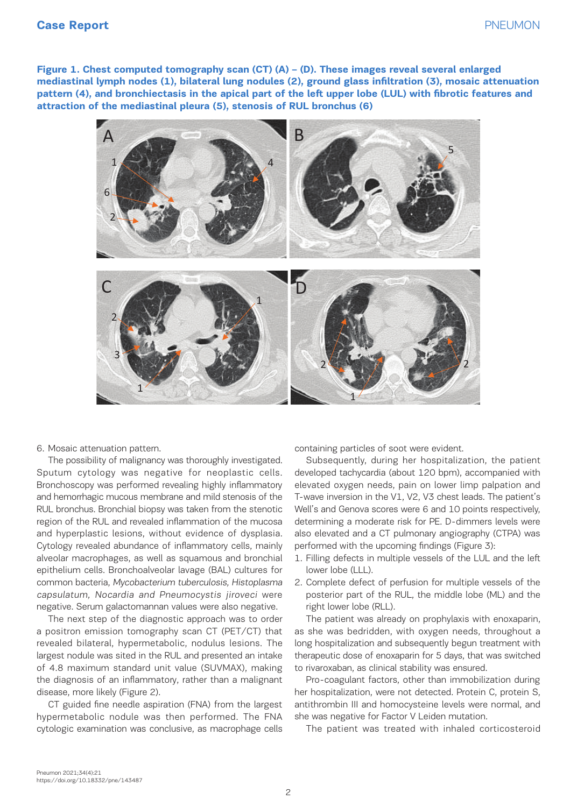### **Case Report** PNEUMON

**Figure 1. Chest computed tomography scan (CT) (A) – (D). These images reveal several enlarged mediastinal lymph nodes (1), bilateral lung nodules (2), ground glass infiltration (3), mosaic attenuation pattern (4), and bronchiectasis in the apical part of the left upper lobe (LUL) with fibrotic features and attraction of the mediastinal pleura (5), stenosis of RUL bronchus (6)**



6. Mosaic attenuation pattern.

The possibility of malignancy was thoroughly investigated. Subsequently, during her hospitalizatio**rration** Sputum cytology was negative for neoplastic cells. Bronchoscopy was performed revealing highly inflammatory elevated oxyge and hemorrhagic mucous membrane and mild stenosis of the RUL bronchus. Bronchial biopsy was taken from the stenotic region of the RUL and revealed inflammation of the mucosa and hyperplastic lesions, without evidence of dysplasia. Cytology revealed abundance of inflammatory cells, mainly alveolar macrophages, as well as squamous and bronchial epithelium cells. Bronchoalveolar lavage (BAL) cultures for common bacteria, Mycobacterium tuberculosis, Histoplasma capsulatum, Nocardia and Pneumocystis jiroveci were negative. Serum galactomannan values were also negative.

The next step of the diagnostic approach was to order a positron emission tomography scan CT (PET/CT) that revealed bilateral, hypermetabolic, nodulus lesions. The largest nodule was sited in the RUL and presented an intake of 4.8 maximum standard unit value (SUVMAX), making the diagnosis of an inflammatory, rather than a malignant disease, more likely (Figure 2).

CT guided fine needle aspiration (FNA) from the largest hypermetabolic nodule was then performed. The FNA cytologic examination was conclusive, as macrophage cells

containing particles of soot were evident. *mediastinal lymph nodes (1), bilateral lung nodules (2), ground glass infiltration (3), mosaic attenuation* 

Subsequently, during her hospitalization, the patient developed tachycardia (about 120 bpm), accompanied with elevated oxygen needs, pain on lower limp palpation and T-wave inversion in the V1, V2, V3 chest leads. The patient's Well's and Genova scores were 6 and 10 points respectively, determining a moderate risk for PE. D-dimmers levels were also elevated and a CT pulmonary angiography (CTPA) was performed with the upcoming findings (Figure 3):

- 1. Filling defects in multiple vessels of the LUL and the left lower lobe (LLL).
- 2. Complete defect of perfusion for multiple vessels of the posterior part of the RUL, the middle lobe (ML) and the right lower lobe (RLL).

The patient was already on prophylaxis with enoxaparin, as she was bedridden, with oxygen needs, throughout a long hospitalization and subsequently begun treatment with therapeutic dose of enoxaparin for 5 days, that was switched to rivaroxaban, as clinical stability was ensured.

Pro-coagulant factors, other than immobilization during her hospitalization, were not detected. Protein C, protein S, antithrombin III and homocysteine levels were normal, and she was negative for Factor V Leiden mutation. 1

The patient was treated with inhaled corticosteroid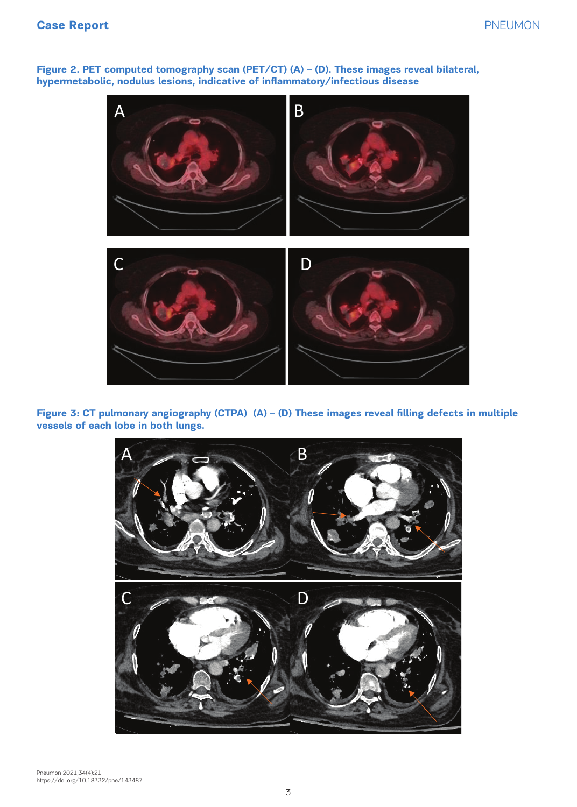### Case Report **Case Report PNEUMON**

**Figure 2. PET computed tomography scan (PET/CT) (A) – (D). These images reveal bilateral, hypermetabolic, nodulus lesions, indicative of inflammatory/infectious disease**



**Figure 3: CT pulmonary angiography (CTPA) (A) – (D) These images reveal filling defects in multiple vessels of each lobe in both lungs.** *hypermetabolic, nodulus lesions, indicative of inflammatory/infectious disease*

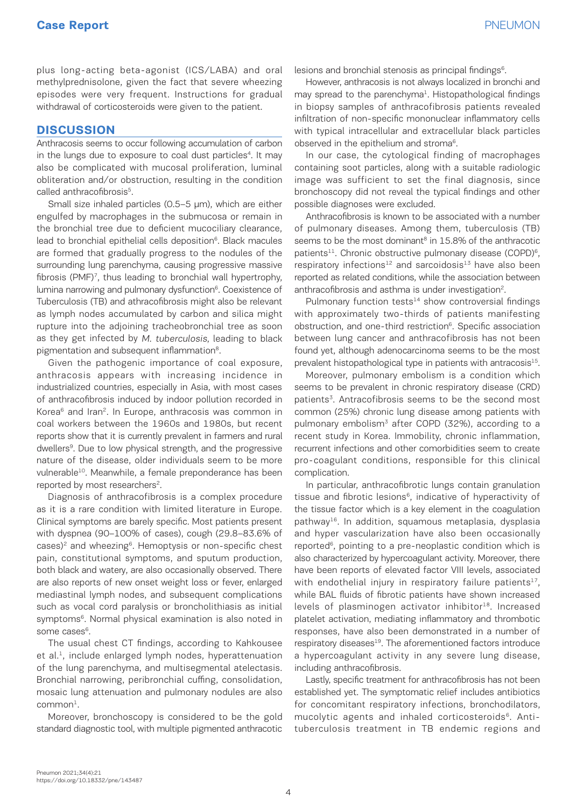plus long-acting beta-agonist (ICS/LABA) and oral methylprednisolone, given the fact that severe wheezing episodes were very frequent. Instructions for gradual withdrawal of corticosteroids were given to the patient.

### **DISCUSSION**

Anthracosis seems to occur following accumulation of carbon in the lungs due to exposure to coal dust particles<sup>4</sup>. It may also be complicated with mucosal proliferation, luminal obliteration and/or obstruction, resulting in the condition called anthracofibrosis<sup>5</sup>.

Small size inhaled particles (0.5–5 μm), which are either engulfed by macrophages in the submucosa or remain in the bronchial tree due to deficient mucociliary clearance, lead to bronchial epithelial cells deposition<sup>6</sup>. Black macules are formed that gradually progress to the nodules of the surrounding lung parenchyma, causing progressive massive fibrosis (PMF)<sup>7</sup>, thus leading to bronchial wall hypertrophy, lumina narrowing and pulmonary dysfunction<sup>6</sup>. Coexistence of Tuberculosis (TB) and athracofibrosis might also be relevant as lymph nodes accumulated by carbon and silica might rupture into the adjoining tracheobronchial tree as soon as they get infected by M. tuberculosis, leading to black pigmentation and subsequent inflammation<sup>8</sup>.

Given the pathogenic importance of coal exposure, anthracosis appears with increasing incidence in industrialized countries, especially in Asia, with most cases of anthracofibrosis induced by indoor pollution recorded in Korea<sup>6</sup> and Iran<sup>2</sup>. In Europe, anthracosis was common in coal workers between the 1960s and 1980s, but recent reports show that it is currently prevalent in farmers and rural dwellers<sup>9</sup>. Due to low physical strength, and the progressive nature of the disease, older individuals seem to be more vulnerable<sup>10</sup>. Meanwhile, a female preponderance has been reported by most researchers<sup>2</sup>.

Diagnosis of anthracofibrosis is a complex procedure as it is a rare condition with limited literature in Europe. Clinical symptoms are barely specific. Most patients present with dyspnea (90–100% of cases), cough (29.8–83.6% of  $cases$ <sup>2</sup> and wheezing<sup> $6$ </sup>. Hemoptysis or non-specific chest pain, constitutional symptoms, and sputum production, both black and watery, are also occasionally observed. There are also reports of new onset weight loss or fever, enlarged mediastinal lymph nodes, and subsequent complications such as vocal cord paralysis or broncholithiasis as initial symptoms<sup>6</sup>. Normal physical examination is also noted in some cases<sup>6</sup>.

Τhe usual chest CT findings, according to Kahkousee et al.<sup>1</sup>, include enlarged lymph nodes, hyperattenuation of the lung parenchyma, and multisegmental atelectasis. Bronchial narrowing, peribronchial cuffing, consolidation, mosaic lung attenuation and pulmonary nodules are also  $common<sup>1</sup>$ .

Moreover, bronchoscopy is considered to be the gold standard diagnostic tool, with multiple pigmented anthracotic lesions and bronchial stenosis as principal findings<sup>6</sup>.

Hοwever, anthracosis is not always localized in bronchi and may spread to the parenchyma<sup>1</sup>. Histopathological findings in biopsy samples of anthracofibrosis patients revealed infiltration of non-specific mononuclear inflammatory cells with typical intracellular and extracellular black particles observed in the epithelium and stroma<sup>6</sup>.

In our case, the cytological finding of macrophages containing soot particles, along with a suitable radiologic image was sufficient to set the final diagnosis, since bronchoscopy did not reveal the typical findings and other possible diagnoses were excluded.

Αnthracofibrosis is known to be associated with a number of pulmonary diseases. Among them, tuberculosis (TB) seems to be the most dominant<sup>8</sup> in 15.8% of the anthracotic patients<sup>11</sup>. Chronic obstructive pulmonary disease (COPD)<sup>6</sup>, respiratory infections<sup>12</sup> and sarcoidosis<sup>13</sup> have also been reported as related conditions, while the association between anthracofibrosis and asthma is under investigation<sup>2</sup>.

Pulmonary function tests $14$  show controversial findings with approximately two-thirds of patients manifesting obstruction, and one-third restriction<sup>6</sup>. Specific association between lung cancer and anthracofibrosis has not been found yet, although adenocarcinoma seems to be the most prevalent histopathological type in patients with antracosis<sup>15</sup>.

Moreover, pulmonary embolism is a condition which seems to be prevalent in chronic respiratory disease (CRD) patients<sup>3</sup>. Antracofibrosis seems to be the second most common (25%) chronic lung disease among patients with pulmonary embolism<sup>3</sup> after COPD (32%), according to a recent study in Korea. Immobility, chronic inflammation, recurrent infections and other comorbidities seem to create pro-coagulant conditions, responsible for this clinical complication.

In particular, anthracofibrotic lungs contain granulation tissue and fibrotic lesions<sup>6</sup>, indicative of hyperactivity of the tissue factor which is a key element in the coagulation pathway<sup>16</sup>. In addition, squamous metaplasia, dysplasia and hyper vascularization have also been occasionally reported<sup>6</sup>, pointing to a pre-neoplastic condition which is also characterized by hypercoagulant activity. Moreover, there have been reports of elevated factor VIII levels, associated with endothelial injury in respiratory failure patients<sup>17</sup>, while BAL fluids of fibrotic patients have shown increased levels of plasminogen activator inhibitor<sup>18</sup>. Increased platelet activation, mediating inflammatory and thrombotic responses, have also been demonstrated in a number of respiratory diseases<sup>19</sup>. The aforementioned factors introduce a hypercoagulant activity in any severe lung disease, including anthracofibrosis.

Lastly, specific treatment for anthracofibrosis has not been established yet. The symptomatic relief includes antibiotics for concomitant respiratory infections, bronchodilators, mucolytic agents and inhaled corticosteroids<sup>6</sup>. Antituberculosis treatment in TB endemic regions and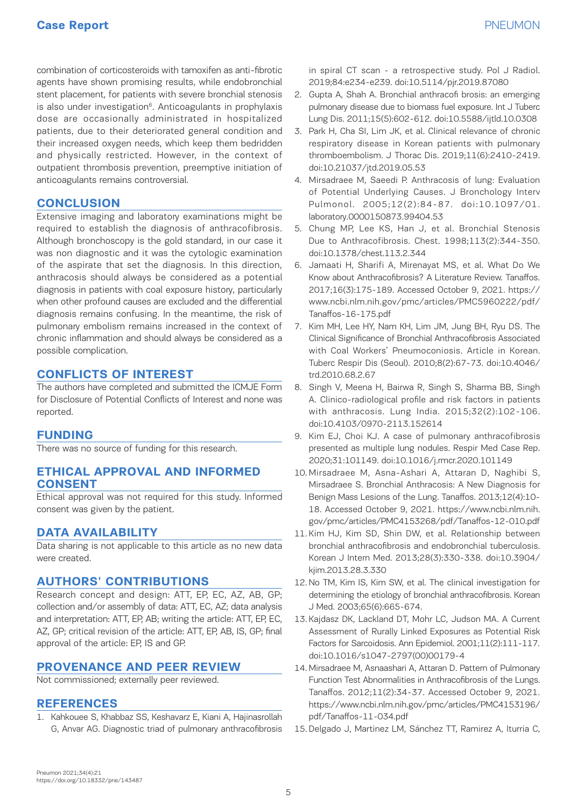# **Case Report** PNEUMON

combination of corticosteroids with tamoxifen as anti-fibrotic agents have shown promising results, while endobronchial stent placement, for patients with severe bronchial stenosis is also under investigation $6$ . Anticoagulants in prophylaxis dose are occasionally administrated in hospitalized patients, due to their deteriorated general condition and their increased oxygen needs, which keep them bedridden and physically restricted. However, in the context of outpatient thrombosis prevention, preemptive initiation of anticoagulants remains controversial.

### **CONCLUSION**

Extensive imaging and laboratory examinations might be required to establish the diagnosis of anthracofibrosis. Although bronchoscopy is the gold standard, in our case it was non diagnostic and it was the cytologic examination of the aspirate that set the diagnosis. In this direction, anthracosis should always be considered as a potential diagnosis in patients with coal exposure history, particularly when other profound causes are excluded and the differential diagnosis remains confusing. In the meantime, the risk of pulmonary embolism remains increased in the context of chronic inflammation and should always be considered as a possible complication.

### **CONFLICTS OF INTEREST**

The authors have completed and submitted the ICMJE Form for Disclosure of Potential Conflicts of Interest and none was reported.

### **FUNDING**

There was no source of funding for this research.

### **ETHICAL APPROVAL AND INFORMED CONSENT**

Ethical approval was not required for this study. Informed consent was given by the patient.

## **DATA AVAILABILITY**

Data sharing is not applicable to this article as no new data were created.

### **AUTHORS' CONTRIBUTIONS**

Research concept and design: ATT, EP, EC, AZ, AB, GP; collection and/or assembly of data: ATT, EC, AZ; data analysis and interpretation: ATT, EP, AB; writing the article: ATT, EP, EC, AZ, GP; critical revision of the article: ATT, EP, AB, IS, GP; final approval of the article: EP, IS and GP.

### **PROVENANCE AND PEER REVIEW**

Not commissioned; externally peer reviewed.

### **REFERENCES**

1. Kahkouee S, Khabbaz SS, Keshavarz E, Kiani A, Hajinasrollah G, Anvar AG. Diagnostic triad of pulmonary anthracofibrosis

in spiral CT scan - a retrospective study. Pol J Radiol. 2019;84:e234-e239. doi:10.5114/pjr.2019.87080

- 2. Gupta A, Shah A. Bronchial anthracofi brosis: an emerging pulmonary disease due to biomass fuel exposure. Int J Tuberc Lung Dis. 2011;15(5):602-612. doi:10.5588/ijtld.10.0308
- 3. Park H, Cha SI, Lim JK, et al. Clinical relevance of chronic respiratory disease in Korean patients with pulmonary thromboembolism. J Thorac Dis. 2019;11(6):2410-2419. doi:10.21037/jtd.2019.05.53
- 4. Mirsadraee M, Saeedi P. Anthracosis of lung: Evaluation of Potential Underlying Causes. J Bronchology Interv Pulmonol. 2005;12(2):84-87. doi:10.1097/01. laboratory.0000150873.99404.53
- 5. Chung MP, Lee KS, Han J, et al. Bronchial Stenosis Due to Anthracofibrosis. Chest. 1998;113(2):344-350. doi:10.1378/chest.113.2.344
- 6. Jamaati H, Sharifi A, Mirenayat MS, et al. What Do We Know about Anthracofibrosis? A Literature Review. Tanaffos. 2017;16(3):175-189. Accessed October 9, 2021. https:// www.ncbi.nlm.nih.gov/pmc/articles/PMC5960222/pdf/ Tanaffos-16-175.pdf
- 7. Kim MH, Lee HY, Nam KH, Lim JM, Jung BH, Ryu DS. The Clinical Significance of Bronchial Anthracofibrosis Associated with Coal Workers' Pneumoconiosis. Article in Korean. Tuberc Respir Dis (Seoul). 2010;8(2):67-73. doi:10.4046/ trd.2010.68.2.67
- 8. Singh V, Meena H, Bairwa R, Singh S, Sharma BB, Singh A. Clinico-radiological profile and risk factors in patients with anthracosis. Lung India. 2015;32(2):102-106. doi:10.4103/0970-2113.152614
- 9. Kim EJ, Choi KJ. A case of pulmonary anthracofibrosis presented as multiple lung nodules. Respir Med Case Rep. 2020;31:101149. doi:10.1016/j.rmcr.2020.101149
- 10. Mirsadraee M, Asna-Ashari A, Attaran D, Naghibi S, Mirsadraee S. Bronchial Anthracosis: A New Diagnosis for Benign Mass Lesions of the Lung. Tanaffos. 2013;12(4):10- 18. Accessed October 9, 2021. https://www.ncbi.nlm.nih. gov/pmc/articles/PMC4153268/pdf/Tanaffos-12-010.pdf
- 11. Kim HJ, Kim SD, Shin DW, et al. Relationship between bronchial anthracofibrosis and endobronchial tuberculosis. Korean J Intern Med. 2013;28(3):330-338. doi:10.3904/ kjim.2013.28.3.330
- 12. No TM, Kim IS, Kim SW, et al. The clinical investigation for determining the etiology of bronchial anthracofibrosis. Korean J Med. 2003;65(6):665-674.
- 13. Kajdasz DK, Lackland DT, Mohr LC, Judson MA. A Current Assessment of Rurally Linked Exposures as Potential Risk Factors for Sarcoidosis. Ann Epidemiol. 2001;11(2):111-117. doi:10.1016/s1047-2797(00)00179-4
- 14. Mirsadraee M, Asnaashari A, Attaran D. Pattern of Pulmonary Function Test Abnormalities in Anthracofibrosis of the Lungs. Tanaffos. 2012;11(2):34-37. Accessed October 9, 2021. https://www.ncbi.nlm.nih.gov/pmc/articles/PMC4153196/ pdf/Tanaffos-11-034.pdf
- 15. Delgado J, Martinez LM, Sánchez TT, Ramirez A, Iturria C,